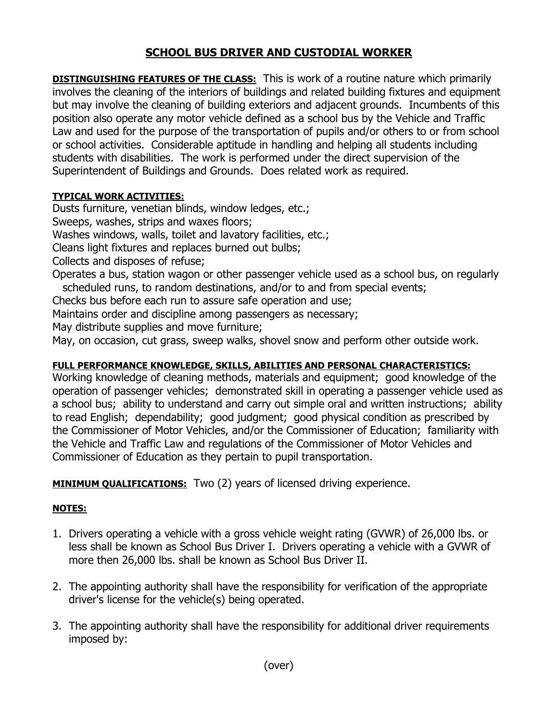## **SCHOOL BUS DRIVER AND CUSTODIAL WORKER**

**DISTINGUISHING FEATURES OF THE CLASS:** This is work of a routine nature which primarily involves the cleaning of the interiors of buildings and related building fixtures and equipment but may involve the cleaning of building exteriors and adjacent grounds. Incumbents of this position also operate any motor vehicle defined as a school bus by the Vehicle and Traffic Law and used for the purpose of the transportation of pupils and/or others to or from school or school activities. Considerable aptitude in handling and helping all students including students with disabilities. The work is performed under the direct supervision of the Superintendent of Buildings and Grounds. Does related work as required.

## **TYPICAL WORK ACTIVITIES:**

Dusts furniture, venetian blinds, window ledges, etc.; Sweeps, washes, strips and waxes floors; Washes windows, walls, toilet and lavatory facilities, etc.; Cleans light fixtures and replaces burned out bulbs; Collects and disposes of refuse; Operates a bus, station wagon or other passenger vehicle used as a school bus, on regularly scheduled runs, to random destinations, and/or to and from special events; Checks bus before each run to assure safe operation and use; Maintains order and discipline among passengers as necessary; May distribute supplies and move furniture;

May, on occasion, cut grass, sweep walks, shovel snow and perform other outside work.

## **FULL PERFORMANCE KNOWLEDGE, SKILLS, ABILITIES AND PERSONAL CHARACTERISTICS:**

Working knowledge of cleaning methods, materials and equipment; good knowledge of the operation of passenger vehicles; demonstrated skill in operating a passenger vehicle used as a school bus; ability to understand and carry out simple oral and written instructions; ability to read English; dependability; good judgment; good physical condition as prescribed by the Commissioner of Motor Vehicles, and/or the Commissioner of Education; familiarity with the Vehicle and Traffic Law and regulations of the Commissioner of Motor Vehicles and Commissioner of Education as they pertain to pupil transportation.

**MINIMUM QUALIFICATIONS:** Two (2) years of licensed driving experience.

## **NOTES:**

- 1. Drivers operating a vehicle with a gross vehicle weight rating (GVWR) of 26,000 lbs. or less shall be known as School Bus Driver I. Drivers operating a vehicle with a GVWR of more then 26,000 lbs. shall be known as School Bus Driver II.
- 2. The appointing authority shall have the responsibility for verification of the appropriate driver's license for the vehicle(s) being operated.
- 3. The appointing authority shall have the responsibility for additional driver requirements imposed by: